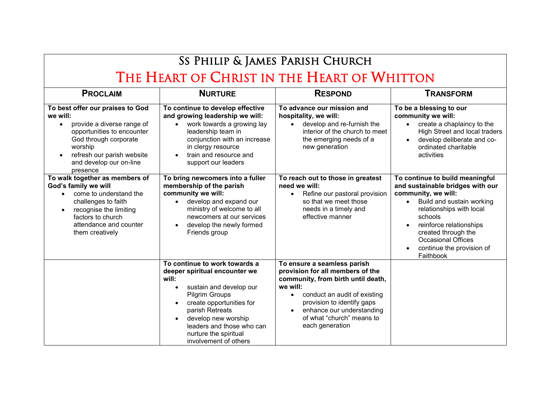## Ss Philip & James Parish Church THE HEART OF CHRIST IN THE HEART OF WHITTON

| <b>PROCLAIM</b>                                                                                                                                                                                                   | <b>NURTURE</b>                                                                                                                                                                                                                                                                                                          | <b>RESPOND</b>                                                                                                                                                                                                                                               | <b>TRANSFORM</b>                                                                                                                                                                                                                                                                        |
|-------------------------------------------------------------------------------------------------------------------------------------------------------------------------------------------------------------------|-------------------------------------------------------------------------------------------------------------------------------------------------------------------------------------------------------------------------------------------------------------------------------------------------------------------------|--------------------------------------------------------------------------------------------------------------------------------------------------------------------------------------------------------------------------------------------------------------|-----------------------------------------------------------------------------------------------------------------------------------------------------------------------------------------------------------------------------------------------------------------------------------------|
| To best offer our praises to God<br>we will:<br>provide a diverse range of<br>opportunities to encounter<br>God through corporate<br>worship<br>refresh our parish website<br>and develop our on-line<br>presence | To continue to develop effective<br>and growing leadership we will:<br>work towards a growing lay<br>$\bullet$<br>leadership team in<br>conjunction with an increase<br>in clergy resource<br>train and resource and<br>$\bullet$<br>support our leaders                                                                | To advance our mission and<br>hospitality, we will:<br>develop and re-furnish the<br>interior of the church to meet<br>the emerging needs of a<br>new generation                                                                                             | To be a blessing to our<br>community we will:<br>create a chaplaincy to the<br>High Street and local traders<br>develop deliberate and co-<br>ordinated charitable<br>activities                                                                                                        |
| To walk together as members of<br>God's family we will<br>come to understand the<br>challenges to faith<br>recognise the limiting<br>factors to church<br>attendance and counter<br>them creatively               | To bring newcomers into a fuller<br>membership of the parish<br>community we will:<br>develop and expand our<br>$\bullet$<br>ministry of welcome to all<br>newcomers at our services<br>develop the newly formed<br>$\bullet$<br>Friends group                                                                          | To reach out to those in greatest<br>need we will:<br>Refine our pastoral provision<br>$\bullet$<br>so that we meet those<br>needs in a timely and<br>effective manner                                                                                       | To continue to build meaningful<br>and sustainable bridges with our<br>community, we will:<br>Build and sustain working<br>relationships with local<br>schools<br>reinforce relationships<br>created through the<br><b>Occasional Offices</b><br>continue the provision of<br>Faithbook |
|                                                                                                                                                                                                                   | To continue to work towards a<br>deeper spiritual encounter we<br>will:<br>sustain and develop our<br>$\bullet$<br><b>Pilgrim Groups</b><br>create opportunities for<br>$\bullet$<br>parish Retreats<br>develop new worship<br>$\bullet$<br>leaders and those who can<br>nurture the spiritual<br>involvement of others | To ensure a seamless parish<br>provision for all members of the<br>community, from birth until death,<br>we will:<br>conduct an audit of existing<br>provision to identify gaps<br>enhance our understanding<br>of what "church" means to<br>each generation |                                                                                                                                                                                                                                                                                         |